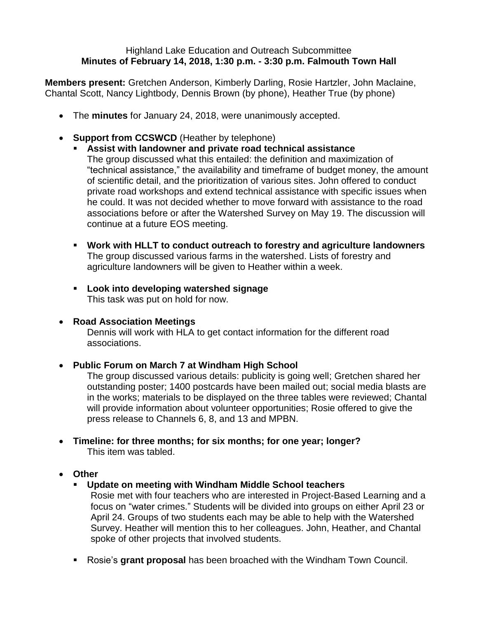## Highland Lake Education and Outreach Subcommittee **Minutes of February 14, 2018, 1:30 p.m. - 3:30 p.m. Falmouth Town Hall**

**Members present:** Gretchen Anderson, Kimberly Darling, Rosie Hartzler, John Maclaine, Chantal Scott, Nancy Lightbody, Dennis Brown (by phone), Heather True (by phone)

- The **minutes** for January 24, 2018, were unanimously accepted.
- **Support from CCSWCD** (Heather by telephone)
	- **Assist with landowner and private road technical assistance** The group discussed what this entailed: the definition and maximization of "technical assistance," the availability and timeframe of budget money, the amount of scientific detail, and the prioritization of various sites. John offered to conduct private road workshops and extend technical assistance with specific issues when he could. It was not decided whether to move forward with assistance to the road associations before or after the Watershed Survey on May 19. The discussion will continue at a future EOS meeting.
	- **Work with HLLT to conduct outreach to forestry and agriculture landowners** The group discussed various farms in the watershed. Lists of forestry and agriculture landowners will be given to Heather within a week.
	- **Look into developing watershed signage** This task was put on hold for now.
- **Road Association Meetings**

Dennis will work with HLA to get contact information for the different road associations.

## **Public Forum on March 7 at Windham High School**

The group discussed various details: publicity is going well; Gretchen shared her outstanding poster; 1400 postcards have been mailed out; social media blasts are in the works; materials to be displayed on the three tables were reviewed; Chantal will provide information about volunteer opportunities; Rosie offered to give the press release to Channels 6, 8, and 13 and MPBN.

- **Timeline: for three months; for six months; for one year; longer?**  This item was tabled.
- **Other**
	- **Update on meeting with Windham Middle School teachers**

Rosie met with four teachers who are interested in Project-Based Learning and a focus on "water crimes." Students will be divided into groups on either April 23 or April 24. Groups of two students each may be able to help with the Watershed Survey. Heather will mention this to her colleagues. John, Heather, and Chantal spoke of other projects that involved students.

Rosie's **grant proposal** has been broached with the Windham Town Council.